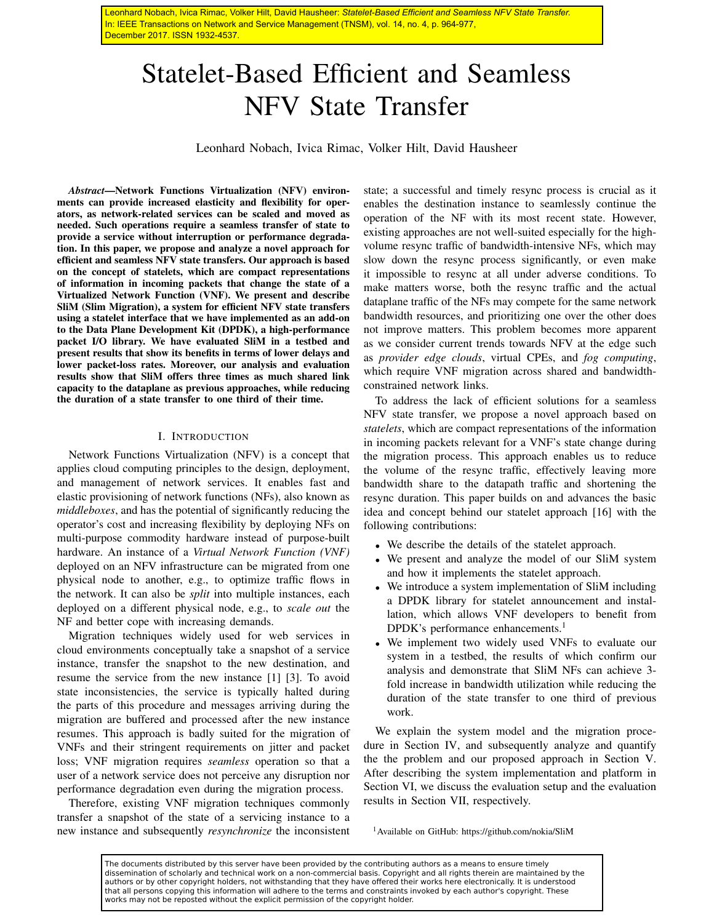# Statelet-Based Efficient and Seamless NFV State Transfer

Leonhard Nobach, Ivica Rimac, Volker Hilt, David Hausheer

*Abstract*—Network Functions Virtualization (NFV) environments can provide increased elasticity and flexibility for operators, as network-related services can be scaled and moved as needed. Such operations require a seamless transfer of state to provide a service without interruption or performance degradation. In this paper, we propose and analyze a novel approach for efficient and seamless NFV state transfers. Our approach is based on the concept of statelets, which are compact representations of information in incoming packets that change the state of a Virtualized Network Function (VNF). We present and describe SliM (Slim Migration), a system for efficient NFV state transfers using a statelet interface that we have implemented as an add-on to the Data Plane Development Kit (DPDK), a high-performance packet I/O library. We have evaluated SliM in a testbed and present results that show its benefits in terms of lower delays and lower packet-loss rates. Moreover, our analysis and evaluation results show that SliM offers three times as much shared link capacity to the dataplane as previous approaches, while reducing the duration of a state transfer to one third of their time.

## I. INTRODUCTION

Network Functions Virtualization (NFV) is a concept that applies cloud computing principles to the design, deployment, and management of network services. It enables fast and elastic provisioning of network functions (NFs), also known as *middleboxes*, and has the potential of significantly reducing the operator's cost and increasing flexibility by deploying NFs on multi-purpose commodity hardware instead of purpose-built hardware. An instance of a *Virtual Network Function (VNF)* deployed on an NFV infrastructure can be migrated from one physical node to another, e.g., to optimize traffic flows in the network. It can also be *split* into multiple instances, each deployed on a different physical node, e.g., to *scale out* the NF and better cope with increasing demands.

Migration techniques widely used for web services in cloud environments conceptually take a snapshot of a service instance, transfer the snapshot to the new destination, and resume the service from the new instance [1] [3]. To avoid state inconsistencies, the service is typically halted during the parts of this procedure and messages arriving during the migration are buffered and processed after the new instance resumes. This approach is badly suited for the migration of VNFs and their stringent requirements on jitter and packet loss; VNF migration requires *seamless* operation so that a user of a network service does not perceive any disruption nor performance degradation even during the migration process.

Therefore, existing VNF migration techniques commonly transfer a snapshot of the state of a servicing instance to a new instance and subsequently *resynchronize* the inconsistent state; a successful and timely resync process is crucial as it enables the destination instance to seamlessly continue the operation of the NF with its most recent state. However, existing approaches are not well-suited especially for the highvolume resync traffic of bandwidth-intensive NFs, which may slow down the resync process significantly, or even make it impossible to resync at all under adverse conditions. To make matters worse, both the resync traffic and the actual dataplane traffic of the NFs may compete for the same network bandwidth resources, and prioritizing one over the other does not improve matters. This problem becomes more apparent as we consider current trends towards NFV at the edge such as *provider edge clouds*, virtual CPEs, and *fog computing*, which require VNF migration across shared and bandwidthconstrained network links.

To address the lack of efficient solutions for a seamless NFV state transfer, we propose a novel approach based on *statelets*, which are compact representations of the information in incoming packets relevant for a VNF's state change during the migration process. This approach enables us to reduce the volume of the resync traffic, effectively leaving more bandwidth share to the datapath traffic and shortening the resync duration. This paper builds on and advances the basic idea and concept behind our statelet approach [16] with the following contributions:

- We describe the details of the statelet approach.
- We present and analyze the model of our SliM system and how it implements the statelet approach.
- We introduce a system implementation of SliM including a DPDK library for statelet announcement and installation, which allows VNF developers to benefit from DPDK's performance enhancements.<sup>1</sup>
- We implement two widely used VNFs to evaluate our system in a testbed, the results of which confirm our analysis and demonstrate that SliM NFs can achieve 3 fold increase in bandwidth utilization while reducing the duration of the state transfer to one third of previous work.

We explain the system model and the migration procedure in Section IV, and subsequently analyze and quantify the the problem and our proposed approach in Section V. After describing the system implementation and platform in Section VI, we discuss the evaluation setup and the evaluation results in Section VII, respectively.

<sup>1</sup>Available on GitHub: https://github.com/nokia/SliM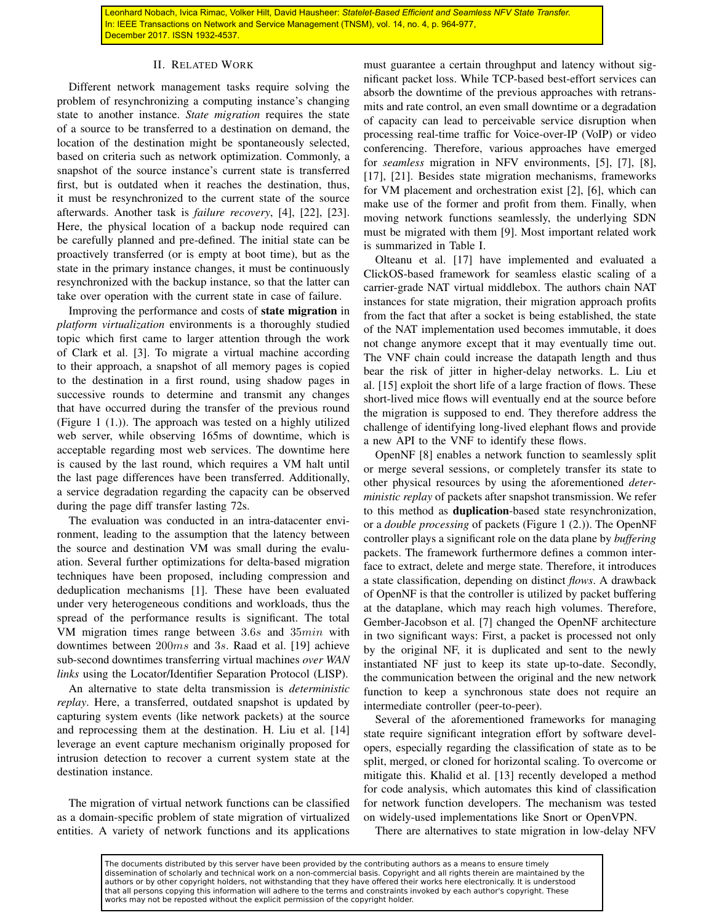## II. RELATED WORK

Different network management tasks require solving the problem of resynchronizing a computing instance's changing state to another instance. *State migration* requires the state of a source to be transferred to a destination on demand, the location of the destination might be spontaneously selected, based on criteria such as network optimization. Commonly, a snapshot of the source instance's current state is transferred first, but is outdated when it reaches the destination, thus, it must be resynchronized to the current state of the source afterwards. Another task is *failure recovery*, [4], [22], [23]. Here, the physical location of a backup node required can be carefully planned and pre-defined. The initial state can be proactively transferred (or is empty at boot time), but as the state in the primary instance changes, it must be continuously resynchronized with the backup instance, so that the latter can take over operation with the current state in case of failure.

Improving the performance and costs of state migration in *platform virtualization* environments is a thoroughly studied topic which first came to larger attention through the work of Clark et al. [3]. To migrate a virtual machine according to their approach, a snapshot of all memory pages is copied to the destination in a first round, using shadow pages in successive rounds to determine and transmit any changes that have occurred during the transfer of the previous round (Figure 1 (1.)). The approach was tested on a highly utilized web server, while observing 165ms of downtime, which is acceptable regarding most web services. The downtime here is caused by the last round, which requires a VM halt until the last page differences have been transferred. Additionally, a service degradation regarding the capacity can be observed during the page diff transfer lasting 72s.

The evaluation was conducted in an intra-datacenter environment, leading to the assumption that the latency between the source and destination VM was small during the evaluation. Several further optimizations for delta-based migration techniques have been proposed, including compression and deduplication mechanisms [1]. These have been evaluated under very heterogeneous conditions and workloads, thus the spread of the performance results is significant. The total VM migration times range between 3.6s and 35min with downtimes between 200ms and 3s. Raad et al. [19] achieve sub-second downtimes transferring virtual machines *over WAN links* using the Locator/Identifier Separation Protocol (LISP).

An alternative to state delta transmission is *deterministic replay*. Here, a transferred, outdated snapshot is updated by capturing system events (like network packets) at the source and reprocessing them at the destination. H. Liu et al. [14] leverage an event capture mechanism originally proposed for intrusion detection to recover a current system state at the destination instance.

The migration of virtual network functions can be classified as a domain-specific problem of state migration of virtualized entities. A variety of network functions and its applications

must guarantee a certain throughput and latency without significant packet loss. While TCP-based best-effort services can absorb the downtime of the previous approaches with retransmits and rate control, an even small downtime or a degradation of capacity can lead to perceivable service disruption when processing real-time traffic for Voice-over-IP (VoIP) or video conferencing. Therefore, various approaches have emerged for *seamless* migration in NFV environments, [5], [7], [8], [17], [21]. Besides state migration mechanisms, frameworks for VM placement and orchestration exist [2], [6], which can make use of the former and profit from them. Finally, when moving network functions seamlessly, the underlying SDN must be migrated with them [9]. Most important related work is summarized in Table I.

Olteanu et al. [17] have implemented and evaluated a ClickOS-based framework for seamless elastic scaling of a carrier-grade NAT virtual middlebox. The authors chain NAT instances for state migration, their migration approach profits from the fact that after a socket is being established, the state of the NAT implementation used becomes immutable, it does not change anymore except that it may eventually time out. The VNF chain could increase the datapath length and thus bear the risk of jitter in higher-delay networks. L. Liu et al. [15] exploit the short life of a large fraction of flows. These short-lived mice flows will eventually end at the source before the migration is supposed to end. They therefore address the challenge of identifying long-lived elephant flows and provide a new API to the VNF to identify these flows.

OpenNF [8] enables a network function to seamlessly split or merge several sessions, or completely transfer its state to other physical resources by using the aforementioned *deterministic replay* of packets after snapshot transmission. We refer to this method as duplication-based state resynchronization, or a *double processing* of packets (Figure 1 (2.)). The OpenNF controller plays a significant role on the data plane by *buffering* packets. The framework furthermore defines a common interface to extract, delete and merge state. Therefore, it introduces a state classification, depending on distinct *flows*. A drawback of OpenNF is that the controller is utilized by packet buffering at the dataplane, which may reach high volumes. Therefore, Gember-Jacobson et al. [7] changed the OpenNF architecture in two significant ways: First, a packet is processed not only by the original NF, it is duplicated and sent to the newly instantiated NF just to keep its state up-to-date. Secondly, the communication between the original and the new network function to keep a synchronous state does not require an intermediate controller (peer-to-peer).

Several of the aforementioned frameworks for managing state require significant integration effort by software developers, especially regarding the classification of state as to be split, merged, or cloned for horizontal scaling. To overcome or mitigate this. Khalid et al. [13] recently developed a method for code analysis, which automates this kind of classification for network function developers. The mechanism was tested on widely-used implementations like Snort or OpenVPN.

There are alternatives to state migration in low-delay NFV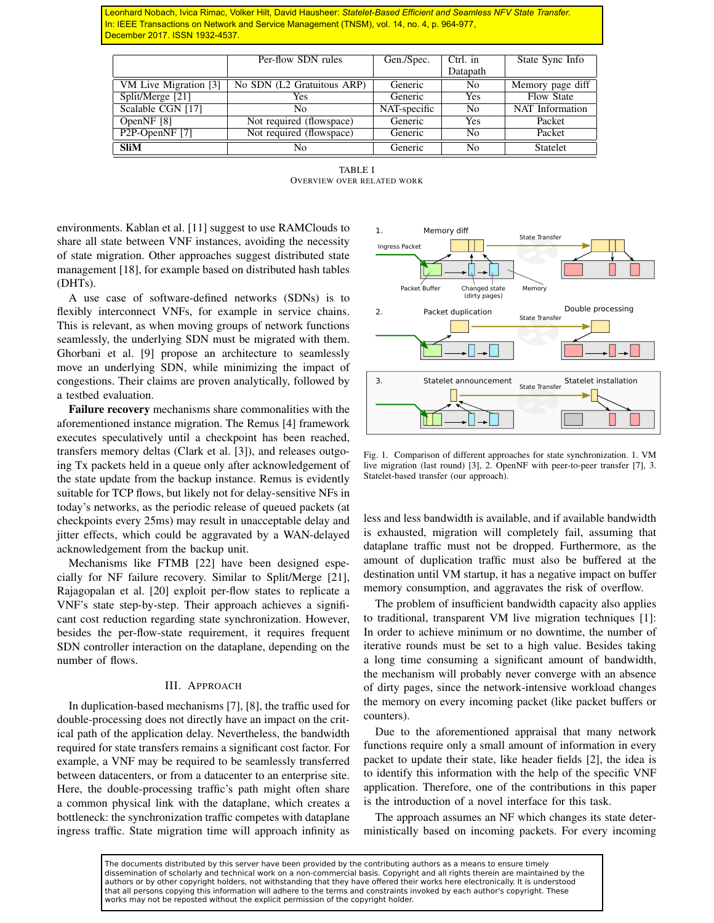|                                         | Per-flow SDN rules         | Gen./Spec.   | Ctrl. in       | State Sync Info   |
|-----------------------------------------|----------------------------|--------------|----------------|-------------------|
|                                         |                            |              | Datapath       |                   |
| VM Live Migration [3]                   | No SDN (L2 Gratuitous ARP) | Generic      | No             | Memory page diff  |
| Split/Merge [21]                        | Yes                        | Generic      | Yes            | <b>Flow State</b> |
| Scalable CGN [17]                       | No                         | NAT-specific | N <sub>0</sub> | NAT Information   |
| OpenNF $[8]$                            | Not required (flowspace)   | Generic      | Yes            | Packet            |
| P <sub>2P</sub> -Open <sub>NF</sub> [7] | Not required (flowspace)   | Generic      | No             | Packet            |
| <b>SliM</b>                             | No                         | Generic      | No             | <b>Statelet</b>   |

TABLE I OVERVIEW OVER RELATED WORK

environments. Kablan et al. [11] suggest to use RAMClouds to share all state between VNF instances, avoiding the necessity of state migration. Other approaches suggest distributed state management [18], for example based on distributed hash tables (DHTs).

A use case of software-defined networks (SDNs) is to flexibly interconnect VNFs, for example in service chains. This is relevant, as when moving groups of network functions seamlessly, the underlying SDN must be migrated with them. Ghorbani et al. [9] propose an architecture to seamlessly move an underlying SDN, while minimizing the impact of congestions. Their claims are proven analytically, followed by a testbed evaluation.

Failure recovery mechanisms share commonalities with the aforementioned instance migration. The Remus [4] framework executes speculatively until a checkpoint has been reached, transfers memory deltas (Clark et al. [3]), and releases outgoing Tx packets held in a queue only after acknowledgement of the state update from the backup instance. Remus is evidently suitable for TCP flows, but likely not for delay-sensitive NFs in today's networks, as the periodic release of queued packets (at checkpoints every 25ms) may result in unacceptable delay and jitter effects, which could be aggravated by a WAN-delayed acknowledgement from the backup unit.

Mechanisms like FTMB [22] have been designed especially for NF failure recovery. Similar to Split/Merge [21], Rajagopalan et al. [20] exploit per-flow states to replicate a VNF's state step-by-step. Their approach achieves a significant cost reduction regarding state synchronization. However, besides the per-flow-state requirement, it requires frequent SDN controller interaction on the dataplane, depending on the number of flows.

## III. APPROACH

In duplication-based mechanisms [7], [8], the traffic used for double-processing does not directly have an impact on the critical path of the application delay. Nevertheless, the bandwidth required for state transfers remains a significant cost factor. For example, a VNF may be required to be seamlessly transferred between datacenters, or from a datacenter to an enterprise site. Here, the double-processing traffic's path might often share a common physical link with the dataplane, which creates a bottleneck: the synchronization traffic competes with dataplane ingress traffic. State migration time will approach infinity as



Fig. 1. Comparison of different approaches for state synchronization. 1. VM live migration (last round) [3], 2. OpenNF with peer-to-peer transfer [7], 3. Statelet-based transfer (our approach).

less and less bandwidth is available, and if available bandwidth is exhausted, migration will completely fail, assuming that dataplane traffic must not be dropped. Furthermore, as the amount of duplication traffic must also be buffered at the destination until VM startup, it has a negative impact on buffer memory consumption, and aggravates the risk of overflow.

The problem of insufficient bandwidth capacity also applies to traditional, transparent VM live migration techniques [1]: In order to achieve minimum or no downtime, the number of iterative rounds must be set to a high value. Besides taking a long time consuming a significant amount of bandwidth, the mechanism will probably never converge with an absence of dirty pages, since the network-intensive workload changes the memory on every incoming packet (like packet buffers or counters).

Due to the aforementioned appraisal that many network functions require only a small amount of information in every packet to update their state, like header fields [2], the idea is to identify this information with the help of the specific VNF application. Therefore, one of the contributions in this paper is the introduction of a novel interface for this task.

The approach assumes an NF which changes its state deterministically based on incoming packets. For every incoming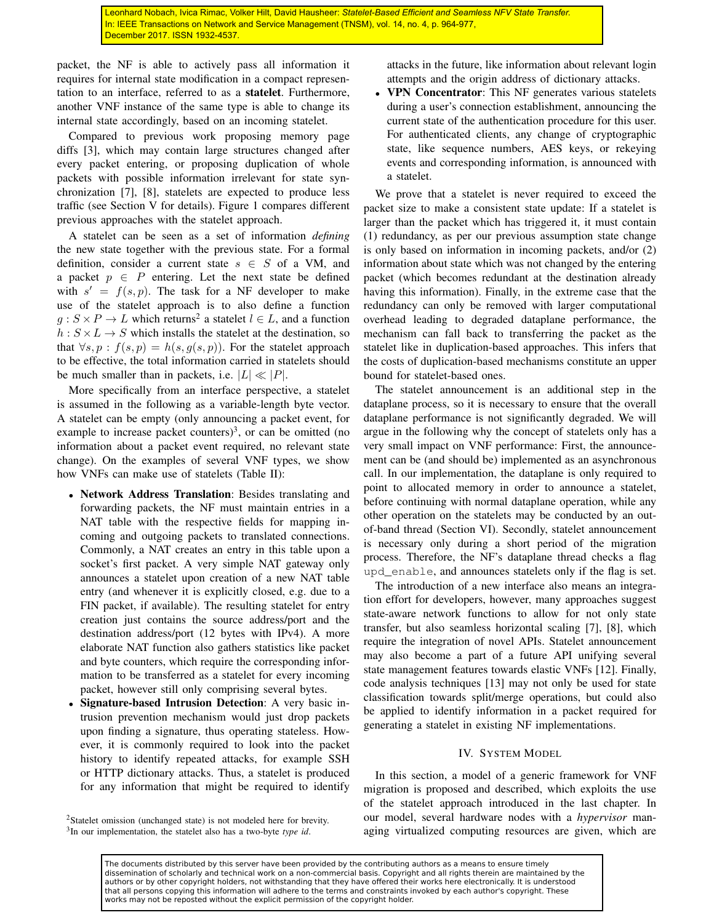packet, the NF is able to actively pass all information it requires for internal state modification in a compact representation to an interface, referred to as a statelet. Furthermore, another VNF instance of the same type is able to change its internal state accordingly, based on an incoming statelet.

Compared to previous work proposing memory page diffs [3], which may contain large structures changed after every packet entering, or proposing duplication of whole packets with possible information irrelevant for state synchronization [7], [8], statelets are expected to produce less traffic (see Section V for details). Figure 1 compares different previous approaches with the statelet approach.

A statelet can be seen as a set of information *defining* the new state together with the previous state. For a formal definition, consider a current state  $s \in S$  of a VM, and a packet  $p \in P$  entering. Let the next state be defined with  $s' = f(s, p)$ . The task for a NF developer to make use of the statelet approach is to also define a function  $g: S \times P \to L$  which returns<sup>2</sup> a statelet  $l \in L$ , and a function  $h: S \times L \rightarrow S$  which installs the statelet at the destination, so that  $\forall s, p : f(s, p) = h(s, g(s, p))$ . For the statelet approach to be effective, the total information carried in statelets should be much smaller than in packets, i.e.  $|L| \ll |P|$ .

More specifically from an interface perspective, a statelet is assumed in the following as a variable-length byte vector. A statelet can be empty (only announcing a packet event, for example to increase packet counters)<sup>3</sup>, or can be omitted (no information about a packet event required, no relevant state change). On the examples of several VNF types, we show how VNFs can make use of statelets (Table II):

- Network Address Translation: Besides translating and forwarding packets, the NF must maintain entries in a NAT table with the respective fields for mapping incoming and outgoing packets to translated connections. Commonly, a NAT creates an entry in this table upon a socket's first packet. A very simple NAT gateway only announces a statelet upon creation of a new NAT table entry (and whenever it is explicitly closed, e.g. due to a FIN packet, if available). The resulting statelet for entry creation just contains the source address/port and the destination address/port (12 bytes with IPv4). A more elaborate NAT function also gathers statistics like packet and byte counters, which require the corresponding information to be transferred as a statelet for every incoming packet, however still only comprising several bytes.
- Signature-based Intrusion Detection: A very basic intrusion prevention mechanism would just drop packets upon finding a signature, thus operating stateless. However, it is commonly required to look into the packet history to identify repeated attacks, for example SSH or HTTP dictionary attacks. Thus, a statelet is produced for any information that might be required to identify

attacks in the future, like information about relevant login attempts and the origin address of dictionary attacks.

• VPN Concentrator: This NF generates various statelets during a user's connection establishment, announcing the current state of the authentication procedure for this user. For authenticated clients, any change of cryptographic state, like sequence numbers, AES keys, or rekeying events and corresponding information, is announced with a statelet.

We prove that a statelet is never required to exceed the packet size to make a consistent state update: If a statelet is larger than the packet which has triggered it, it must contain (1) redundancy, as per our previous assumption state change is only based on information in incoming packets, and/or (2) information about state which was not changed by the entering packet (which becomes redundant at the destination already having this information). Finally, in the extreme case that the redundancy can only be removed with larger computational overhead leading to degraded dataplane performance, the mechanism can fall back to transferring the packet as the statelet like in duplication-based approaches. This infers that the costs of duplication-based mechanisms constitute an upper bound for statelet-based ones.

The statelet announcement is an additional step in the dataplane process, so it is necessary to ensure that the overall dataplane performance is not significantly degraded. We will argue in the following why the concept of statelets only has a very small impact on VNF performance: First, the announcement can be (and should be) implemented as an asynchronous call. In our implementation, the dataplane is only required to point to allocated memory in order to announce a statelet, before continuing with normal dataplane operation, while any other operation on the statelets may be conducted by an outof-band thread (Section VI). Secondly, statelet announcement is necessary only during a short period of the migration process. Therefore, the NF's dataplane thread checks a flag upd\_enable, and announces statelets only if the flag is set.

The introduction of a new interface also means an integration effort for developers, however, many approaches suggest state-aware network functions to allow for not only state transfer, but also seamless horizontal scaling [7], [8], which require the integration of novel APIs. Statelet announcement may also become a part of a future API unifying several state management features towards elastic VNFs [12]. Finally, code analysis techniques [13] may not only be used for state classification towards split/merge operations, but could also be applied to identify information in a packet required for generating a statelet in existing NF implementations.

## IV. SYSTEM MODEL

In this section, a model of a generic framework for VNF migration is proposed and described, which exploits the use of the statelet approach introduced in the last chapter. In our model, several hardware nodes with a *hypervisor* managing virtualized computing resources are given, which are

<sup>2</sup>Statelet omission (unchanged state) is not modeled here for brevity. 3 In our implementation, the statelet also has a two-byte *type id*.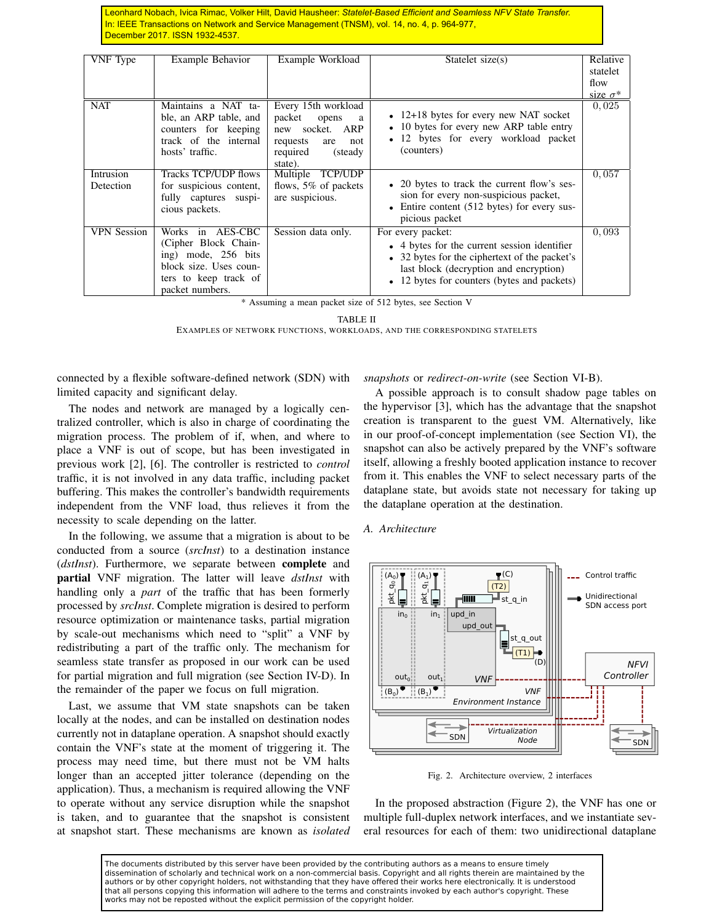| VNF Type               | Example Behavior                                                                                                                      | Example Workload                                                                                                            | Statelet $size(s)$                                                                                                                                                                                        | Relative<br>statelet<br>flow<br>size $\sigma^*$ |
|------------------------|---------------------------------------------------------------------------------------------------------------------------------------|-----------------------------------------------------------------------------------------------------------------------------|-----------------------------------------------------------------------------------------------------------------------------------------------------------------------------------------------------------|-------------------------------------------------|
| <b>NAT</b>             | Maintains a NAT ta-<br>ble, an ARP table, and<br>counters for keeping<br>track of the internal<br>hosts' traffic.                     | Every 15th workload<br>packet<br>opens<br>a<br>new socket. ARP<br>requests<br>are<br>not<br>required<br>(steady)<br>state). | $\bullet$ 12+18 bytes for every new NAT socket<br>• 10 bytes for every new ARP table entry<br>• 12 bytes for every workload packet<br>(counters)                                                          | 0,025                                           |
| Intrusion<br>Detection | Tracks TCP/UDP flows<br>for suspicious content,<br>fully captures suspi-<br>cious packets.                                            | Multiple TCP/UDP<br>flows, 5% of packets<br>are suspicious.                                                                 | • 20 bytes to track the current flow's ses-<br>sion for every non-suspicious packet,<br>• Entire content $(512 \text{ bytes})$ for every sus-<br>picious packet                                           | 0,057                                           |
| <b>VPN Session</b>     | Works in AES-CBC<br>(Cipher Block Chain-<br>ing) mode, 256 bits<br>block size. Uses coun-<br>ters to keep track of<br>packet numbers. | Session data only.                                                                                                          | For every packet:<br>• 4 bytes for the current session identifier<br>• 32 bytes for the ciphertext of the packet's<br>last block (decryption and encryption)<br>12 bytes for counters (bytes and packets) | 0,093                                           |

\* Assuming a mean packet size of 512 bytes, see Section V

TABLE II

EXAMPLES OF NETWORK FUNCTIONS, WORKLOADS, AND THE CORRESPONDING STATELETS

connected by a flexible software-defined network (SDN) with limited capacity and significant delay.

The nodes and network are managed by a logically centralized controller, which is also in charge of coordinating the migration process. The problem of if, when, and where to place a VNF is out of scope, but has been investigated in previous work [2], [6]. The controller is restricted to *control* traffic, it is not involved in any data traffic, including packet buffering. This makes the controller's bandwidth requirements independent from the VNF load, thus relieves it from the necessity to scale depending on the latter.

In the following, we assume that a migration is about to be conducted from a source (*srcInst*) to a destination instance (*dstInst*). Furthermore, we separate between complete and partial VNF migration. The latter will leave *dstInst* with handling only a *part* of the traffic that has been formerly processed by *srcInst*. Complete migration is desired to perform resource optimization or maintenance tasks, partial migration by scale-out mechanisms which need to "split" a VNF by redistributing a part of the traffic only. The mechanism for seamless state transfer as proposed in our work can be used for partial migration and full migration (see Section IV-D). In the remainder of the paper we focus on full migration.

Last, we assume that VM state snapshots can be taken locally at the nodes, and can be installed on destination nodes currently not in dataplane operation. A snapshot should exactly contain the VNF's state at the moment of triggering it. The process may need time, but there must not be VM halts longer than an accepted jitter tolerance (depending on the application). Thus, a mechanism is required allowing the VNF to operate without any service disruption while the snapshot is taken, and to guarantee that the snapshot is consistent at snapshot start. These mechanisms are known as *isolated* *snapshots* or *redirect-on-write* (see Section VI-B).

A possible approach is to consult shadow page tables on the hypervisor [3], which has the advantage that the snapshot creation is transparent to the guest VM. Alternatively, like in our proof-of-concept implementation (see Section VI), the snapshot can also be actively prepared by the VNF's software itself, allowing a freshly booted application instance to recover from it. This enables the VNF to select necessary parts of the dataplane state, but avoids state not necessary for taking up the dataplane operation at the destination.

## *A. Architecture*



Fig. 2. Architecture overview, 2 interfaces

In the proposed abstraction (Figure 2), the VNF has one or multiple full-duplex network interfaces, and we instantiate several resources for each of them: two unidirectional dataplane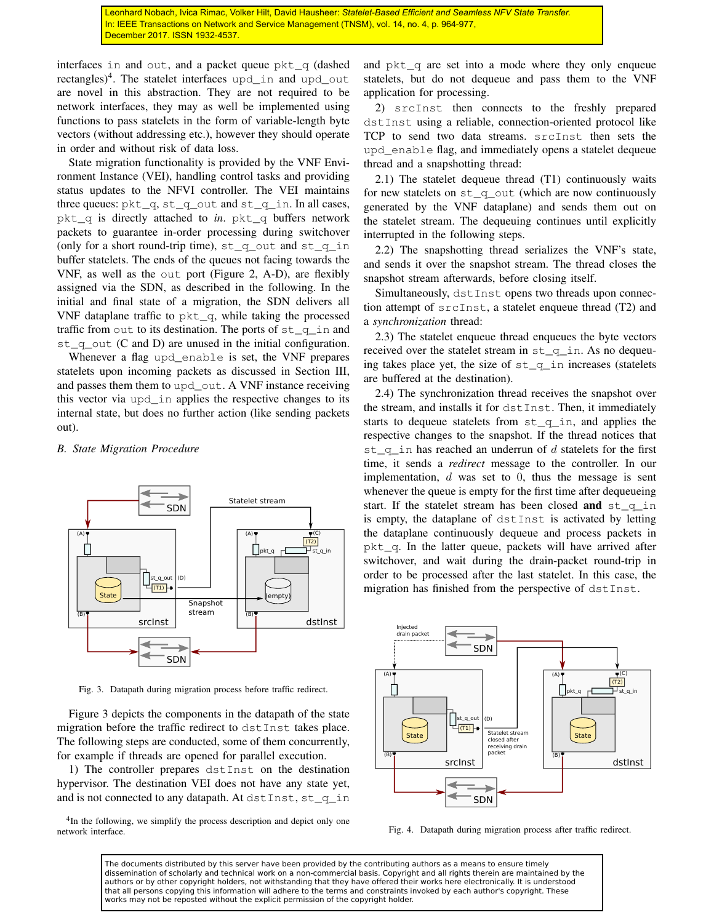interfaces in and out, and a packet queue pkt\_q (dashed rectangles)<sup>4</sup>. The statelet interfaces upd\_in and upd\_out are novel in this abstraction. They are not required to be network interfaces, they may as well be implemented using functions to pass statelets in the form of variable-length byte vectors (without addressing etc.), however they should operate in order and without risk of data loss.

State migration functionality is provided by the VNF Environment Instance (VEI), handling control tasks and providing status updates to the NFVI controller. The VEI maintains three queues: pkt\_q, st\_q\_out and st\_q\_in. In all cases, pkt\_q is directly attached to *in*. pkt\_q buffers network packets to guarantee in-order processing during switchover (only for a short round-trip time),  $st_q$  out and  $st_q$  in buffer statelets. The ends of the queues not facing towards the VNF, as well as the out port (Figure 2, A-D), are flexibly assigned via the SDN, as described in the following. In the initial and final state of a migration, the SDN delivers all VNF dataplane traffic to  $\beta$ kt\_q, while taking the processed traffic from out to its destination. The ports of  $st_q$  in and  $st_q$  out (C and D) are unused in the initial configuration.

Whenever a flag upd\_enable is set, the VNF prepares statelets upon incoming packets as discussed in Section III, and passes them them to upd\_out. A VNF instance receiving this vector via upd\_in applies the respective changes to its internal state, but does no further action (like sending packets out).

## *B. State Migration Procedure*



Fig. 3. Datapath during migration process before traffic redirect.

Figure 3 depicts the components in the datapath of the state migration before the traffic redirect to  $\text{distInst}$  takes place. The following steps are conducted, some of them concurrently, for example if threads are opened for parallel execution.

1) The controller prepares dstInst on the destination hypervisor. The destination VEI does not have any state yet, and is not connected to any datapath. At dst Inst, st\_q\_in

<sup>4</sup>In the following, we simplify the process description and depict only one network interface.

and pkt\_q are set into a mode where they only enqueue statelets, but do not dequeue and pass them to the VNF application for processing.

2) srcInst then connects to the freshly prepared dstInst using a reliable, connection-oriented protocol like TCP to send two data streams. srcInst then sets the upd\_enable flag, and immediately opens a statelet dequeue thread and a snapshotting thread:

2.1) The statelet dequeue thread (T1) continuously waits for new statelets on st\_q\_out (which are now continuously generated by the VNF dataplane) and sends them out on the statelet stream. The dequeuing continues until explicitly interrupted in the following steps.

2.2) The snapshotting thread serializes the VNF's state, and sends it over the snapshot stream. The thread closes the snapshot stream afterwards, before closing itself.

Simultaneously, dstInst opens two threads upon connection attempt of srcInst, a statelet enqueue thread (T2) and a *synchronization* thread:

2.3) The statelet enqueue thread enqueues the byte vectors received over the statelet stream in  $st$  q in. As no dequeuing takes place yet, the size of  $st_q$  in increases (statelets are buffered at the destination).

2.4) The synchronization thread receives the snapshot over the stream, and installs it for dstInst. Then, it immediately starts to dequeue statelets from  $st_q$  in, and applies the respective changes to the snapshot. If the thread notices that st\_q\_in has reached an underrun of  $d$  statelets for the first time, it sends a *redirect* message to the controller. In our implementation,  $d$  was set to 0, thus the message is sent whenever the queue is empty for the first time after dequeueing start. If the statelet stream has been closed and  $st_q$  in is empty, the dataplane of dstInst is activated by letting the dataplane continuously dequeue and process packets in pkt\_q. In the latter queue, packets will have arrived after switchover, and wait during the drain-packet round-trip in order to be processed after the last statelet. In this case, the migration has finished from the perspective of dstInst.



Fig. 4. Datapath during migration process after traffic redirect.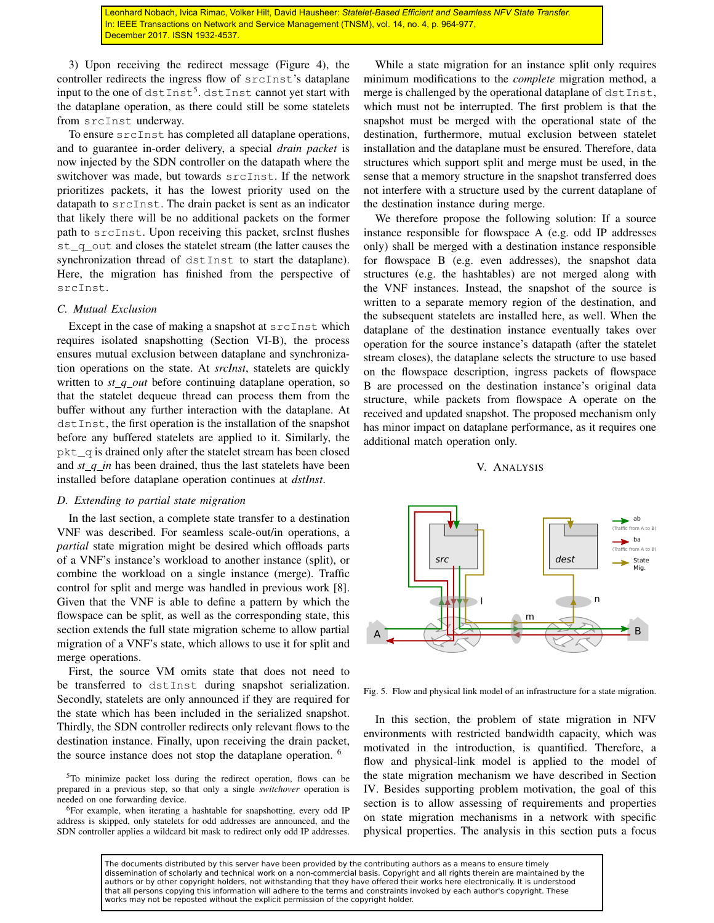3) Upon receiving the redirect message (Figure 4), the controller redirects the ingress flow of srcInst's dataplane input to the one of  $\mathtt{dstInst}^5$ . dstInst cannot yet start with the dataplane operation, as there could still be some statelets from srcInst underway.

To ensure srcInst has completed all dataplane operations, and to guarantee in-order delivery, a special *drain packet* is now injected by the SDN controller on the datapath where the switchover was made, but towards srcInst. If the network prioritizes packets, it has the lowest priority used on the datapath to srcInst. The drain packet is sent as an indicator that likely there will be no additional packets on the former path to srcInst. Upon receiving this packet, srcInst flushes st\_q\_out and closes the statelet stream (the latter causes the synchronization thread of dstInst to start the dataplane). Here, the migration has finished from the perspective of srcInst.

### *C. Mutual Exclusion*

Except in the case of making a snapshot at srcInst which requires isolated snapshotting (Section VI-B), the process ensures mutual exclusion between dataplane and synchronization operations on the state. At *srcInst*, statelets are quickly written to  $st_q$ *out* before continuing dataplane operation, so that the statelet dequeue thread can process them from the buffer without any further interaction with the dataplane. At dstInst, the first operation is the installation of the snapshot before any buffered statelets are applied to it. Similarly, the pkt\_q is drained only after the statelet stream has been closed and *st\_q\_in* has been drained, thus the last statelets have been installed before dataplane operation continues at *dstInst*.

### *D. Extending to partial state migration*

In the last section, a complete state transfer to a destination VNF was described. For seamless scale-out/in operations, a *partial* state migration might be desired which offloads parts of a VNF's instance's workload to another instance (split), or combine the workload on a single instance (merge). Traffic control for split and merge was handled in previous work [8]. Given that the VNF is able to define a pattern by which the flowspace can be split, as well as the corresponding state, this section extends the full state migration scheme to allow partial migration of a VNF's state, which allows to use it for split and merge operations.

First, the source VM omits state that does not need to be transferred to dstInst during snapshot serialization. Secondly, statelets are only announced if they are required for the state which has been included in the serialized snapshot. Thirdly, the SDN controller redirects only relevant flows to the destination instance. Finally, upon receiving the drain packet, the source instance does not stop the dataplane operation. <sup>6</sup>

<sup>5</sup>To minimize packet loss during the redirect operation, flows can be prepared in a previous step, so that only a single *switchover* operation is needed on one forwarding device.

<sup>6</sup>For example, when iterating a hashtable for snapshotting, every odd IP address is skipped, only statelets for odd addresses are announced, and the SDN controller applies a wildcard bit mask to redirect only odd IP addresses.

While a state migration for an instance split only requires minimum modifications to the *complete* migration method, a merge is challenged by the operational dataplane of dst Inst, which must not be interrupted. The first problem is that the snapshot must be merged with the operational state of the destination, furthermore, mutual exclusion between statelet installation and the dataplane must be ensured. Therefore, data structures which support split and merge must be used, in the sense that a memory structure in the snapshot transferred does not interfere with a structure used by the current dataplane of the destination instance during merge.

We therefore propose the following solution: If a source instance responsible for flowspace A (e.g. odd IP addresses only) shall be merged with a destination instance responsible for flowspace B (e.g. even addresses), the snapshot data structures (e.g. the hashtables) are not merged along with the VNF instances. Instead, the snapshot of the source is written to a separate memory region of the destination, and the subsequent statelets are installed here, as well. When the dataplane of the destination instance eventually takes over operation for the source instance's datapath (after the statelet stream closes), the dataplane selects the structure to use based on the flowspace description, ingress packets of flowspace B are processed on the destination instance's original data structure, while packets from flowspace A operate on the received and updated snapshot. The proposed mechanism only has minor impact on dataplane performance, as it requires one additional match operation only.





Fig. 5. Flow and physical link model of an infrastructure for a state migration.

In this section, the problem of state migration in NFV environments with restricted bandwidth capacity, which was motivated in the introduction, is quantified. Therefore, a flow and physical-link model is applied to the model of the state migration mechanism we have described in Section IV. Besides supporting problem motivation, the goal of this section is to allow assessing of requirements and properties on state migration mechanisms in a network with specific physical properties. The analysis in this section puts a focus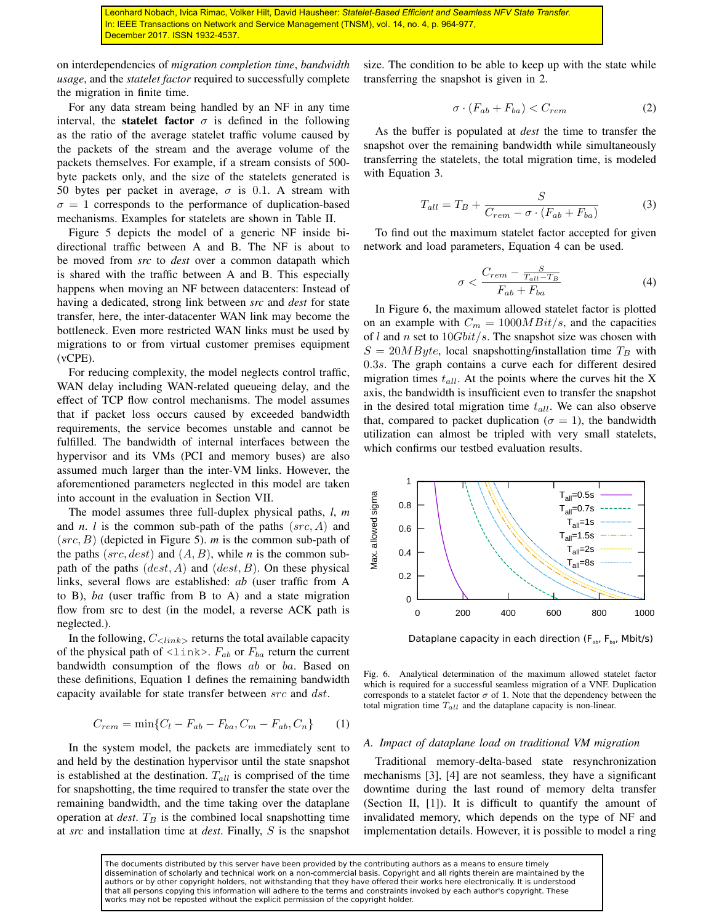on interdependencies of *migration completion time*, *bandwidth usage*, and the *statelet factor* required to successfully complete the migration in finite time.

For any data stream being handled by an NF in any time interval, the **statelet factor**  $\sigma$  is defined in the following as the ratio of the average statelet traffic volume caused by the packets of the stream and the average volume of the packets themselves. For example, if a stream consists of 500 byte packets only, and the size of the statelets generated is 50 bytes per packet in average,  $\sigma$  is 0.1. A stream with  $\sigma = 1$  corresponds to the performance of duplication-based mechanisms. Examples for statelets are shown in Table II.

Figure 5 depicts the model of a generic NF inside bidirectional traffic between A and B. The NF is about to be moved from *src* to *dest* over a common datapath which is shared with the traffic between A and B. This especially happens when moving an NF between datacenters: Instead of having a dedicated, strong link between *src* and *dest* for state transfer, here, the inter-datacenter WAN link may become the bottleneck. Even more restricted WAN links must be used by migrations to or from virtual customer premises equipment (vCPE).

For reducing complexity, the model neglects control traffic, WAN delay including WAN-related queueing delay, and the effect of TCP flow control mechanisms. The model assumes that if packet loss occurs caused by exceeded bandwidth requirements, the service becomes unstable and cannot be fulfilled. The bandwidth of internal interfaces between the hypervisor and its VMs (PCI and memory buses) are also assumed much larger than the inter-VM links. However, the aforementioned parameters neglected in this model are taken into account in the evaluation in Section VII.

The model assumes three full-duplex physical paths, *l*, *m* and *n*. *l* is the common sub-path of the paths  $src, A)$  and (src, B) (depicted in Figure 5). *m* is the common sub-path of the paths  $src, dest)$  and  $(A, B)$ , while *n* is the common subpath of the paths  $(dest, A)$  and  $(dest, B)$ . On these physical links, several flows are established: *ab* (user traffic from A to B), *ba* (user traffic from B to A) and a state migration flow from src to dest (in the model, a reverse ACK path is neglected.).

In the following,  $C_{\langle link \rangle}$  returns the total available capacity of the physical path of  $\langle \text{link} \rangle$ .  $F_{ab}$  or  $F_{ba}$  return the current bandwidth consumption of the flows ab or ba. Based on these definitions, Equation 1 defines the remaining bandwidth capacity available for state transfer between src and dst.

$$
C_{rem} = \min\{C_l - F_{ab} - F_{ba}, C_m - F_{ab}, C_n\} \tag{1}
$$

In the system model, the packets are immediately sent to and held by the destination hypervisor until the state snapshot is established at the destination.  $T_{all}$  is comprised of the time for snapshotting, the time required to transfer the state over the remaining bandwidth, and the time taking over the dataplane operation at *dest*.  $T_B$  is the combined local snapshotting time at *src* and installation time at *dest*. Finally, S is the snapshot size. The condition to be able to keep up with the state while transferring the snapshot is given in 2.

$$
\sigma \cdot (F_{ab} + F_{ba}) < C_{rem} \tag{2}
$$

As the buffer is populated at *dest* the time to transfer the snapshot over the remaining bandwidth while simultaneously transferring the statelets, the total migration time, is modeled with Equation 3.

$$
T_{all} = T_B + \frac{S}{C_{rem} - \sigma \cdot (F_{ab} + F_{ba})}
$$
(3)

To find out the maximum statelet factor accepted for given network and load parameters, Equation 4 can be used.

$$
\sigma < \frac{C_{rem} - \frac{S}{T_{all} - T_B}}{F_{ab} + F_{ba}} \tag{4}
$$

In Figure 6, the maximum allowed statelet factor is plotted on an example with  $C_m = 1000MBit/s$ , and the capacities of l and n set to  $10Gbit/s$ . The snapshot size was chosen with  $S = 20MB$ yte, local snapshotting/installation time  $T_B$  with 0.3s. The graph contains a curve each for different desired migration times  $t_{all}$ . At the points where the curves hit the X axis, the bandwidth is insufficient even to transfer the snapshot in the desired total migration time  $t_{all}$ . We can also observe that, compared to packet duplication ( $\sigma = 1$ ), the bandwidth utilization can almost be tripled with very small statelets, which confirms our testbed evaluation results.



Dataplane capacity in each direction ( $F_{ab}$ ,  $F_{ba}$ , Mbit/s)

Fig. 6. Analytical determination of the maximum allowed statelet factor which is required for a successful seamless migration of a VNF. Duplication corresponds to a statelet factor  $\sigma$  of 1. Note that the dependency between the total migration time  $T_{all}$  and the dataplane capacity is non-linear.

## *A. Impact of dataplane load on traditional VM migration*

Traditional memory-delta-based state resynchronization mechanisms [3], [4] are not seamless, they have a significant downtime during the last round of memory delta transfer (Section II, [1]). It is difficult to quantify the amount of invalidated memory, which depends on the type of NF and implementation details. However, it is possible to model a ring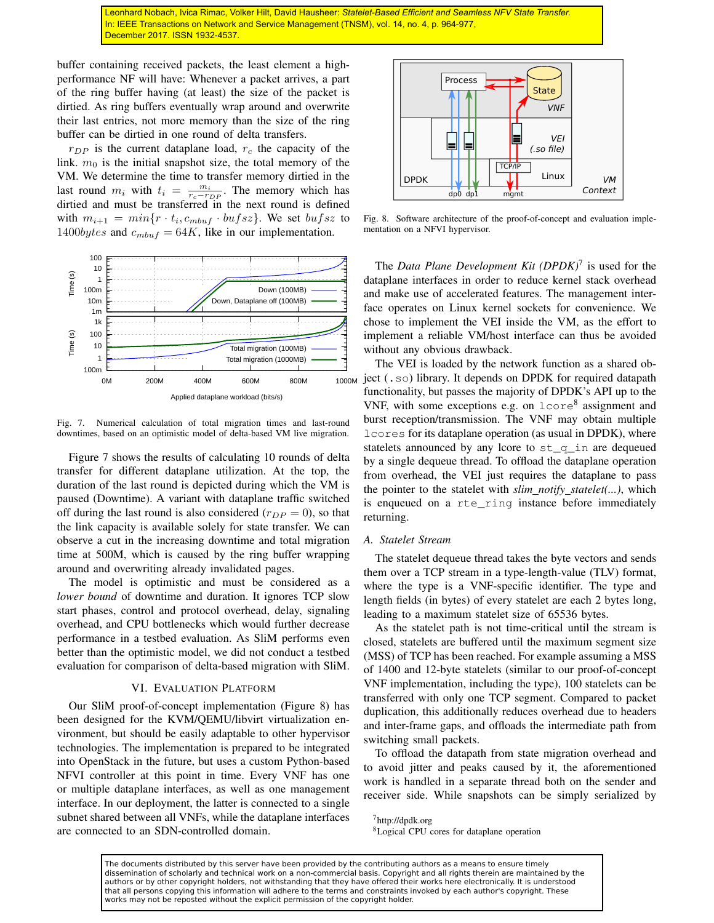buffer containing received packets, the least element a highperformance NF will have: Whenever a packet arrives, a part of the ring buffer having (at least) the size of the packet is dirtied. As ring buffers eventually wrap around and overwrite their last entries, not more memory than the size of the ring buffer can be dirtied in one round of delta transfers.

 $r_{DP}$  is the current dataplane load,  $r_c$  the capacity of the link.  $m_0$  is the initial snapshot size, the total memory of the VM. We determine the time to transfer memory dirtied in the last round  $m_i$  with  $t_i = \frac{m_i}{r_c - r_{DP}}$ . The memory which has dirtied and must be transferred in the next round is defined with  $m_{i+1} = min{r \cdot t_i, c_{mbuf} \cdot but fsz}$ . We set  $bufsz$  to  $1400 bytes$  and  $c_{mbuf} = 64K$ , like in our implementation.



Fig. 7. Numerical calculation of total migration times and last-round downtimes, based on an optimistic model of delta-based VM live migration.

Figure 7 shows the results of calculating 10 rounds of delta transfer for different dataplane utilization. At the top, the duration of the last round is depicted during which the VM is paused (Downtime). A variant with dataplane traffic switched off during the last round is also considered ( $r_{DP} = 0$ ), so that the link capacity is available solely for state transfer. We can observe a cut in the increasing downtime and total migration time at 500M, which is caused by the ring buffer wrapping around and overwriting already invalidated pages.

The model is optimistic and must be considered as a *lower bound* of downtime and duration. It ignores TCP slow start phases, control and protocol overhead, delay, signaling overhead, and CPU bottlenecks which would further decrease performance in a testbed evaluation. As SliM performs even better than the optimistic model, we did not conduct a testbed evaluation for comparison of delta-based migration with SliM.

#### VI. EVALUATION PLATFORM

Our SliM proof-of-concept implementation (Figure 8) has been designed for the KVM/QEMU/libvirt virtualization environment, but should be easily adaptable to other hypervisor technologies. The implementation is prepared to be integrated into OpenStack in the future, but uses a custom Python-based NFVI controller at this point in time. Every VNF has one or multiple dataplane interfaces, as well as one management interface. In our deployment, the latter is connected to a single subnet shared between all VNFs, while the dataplane interfaces are connected to an SDN-controlled domain.



Fig. 8. Software architecture of the proof-of-concept and evaluation implementation on a NFVI hypervisor.

The *Data Plane Development Kit (DPDK)*<sup>7</sup> is used for the dataplane interfaces in order to reduce kernel stack overhead and make use of accelerated features. The management interface operates on Linux kernel sockets for convenience. We chose to implement the VEI inside the VM, as the effort to implement a reliable VM/host interface can thus be avoided without any obvious drawback.

The VEI is loaded by the network function as a shared object (.so) library. It depends on DPDK for required datapath functionality, but passes the majority of DPDK's API up to the VNF, with some exceptions e.g. on  $lcore<sup>8</sup>$  assignment and burst reception/transmission. The VNF may obtain multiple lcores for its dataplane operation (as usual in DPDK), where statelets announced by any lcore to st\_q\_in are dequeued by a single dequeue thread. To offload the dataplane operation from overhead, the VEI just requires the dataplane to pass the pointer to the statelet with *slim notify statelet(...)*, which is enqueued on a rte\_ring instance before immediately returning.

#### *A. Statelet Stream*

The statelet dequeue thread takes the byte vectors and sends them over a TCP stream in a type-length-value (TLV) format, where the type is a VNF-specific identifier. The type and length fields (in bytes) of every statelet are each 2 bytes long, leading to a maximum statelet size of 65536 bytes.

As the statelet path is not time-critical until the stream is closed, statelets are buffered until the maximum segment size (MSS) of TCP has been reached. For example assuming a MSS of 1400 and 12-byte statelets (similar to our proof-of-concept VNF implementation, including the type), 100 statelets can be transferred with only one TCP segment. Compared to packet duplication, this additionally reduces overhead due to headers and inter-frame gaps, and offloads the intermediate path from switching small packets.

To offload the datapath from state migration overhead and to avoid jitter and peaks caused by it, the aforementioned work is handled in a separate thread both on the sender and receiver side. While snapshots can be simply serialized by

<sup>7</sup>http://dpdk.org

<sup>8</sup>Logical CPU cores for dataplane operation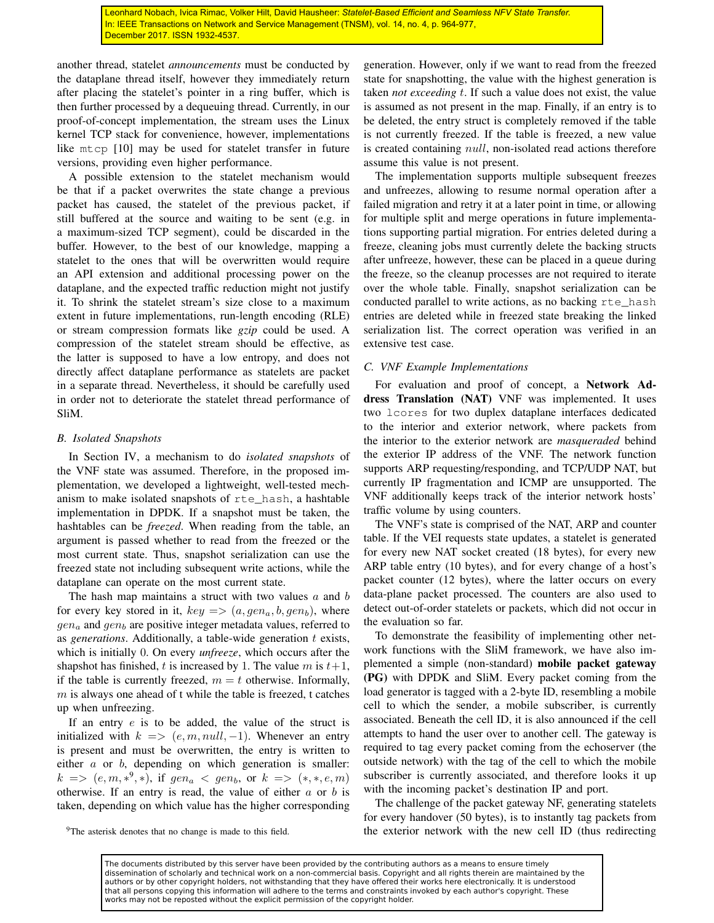another thread, statelet *announcements* must be conducted by the dataplane thread itself, however they immediately return after placing the statelet's pointer in a ring buffer, which is then further processed by a dequeuing thread. Currently, in our proof-of-concept implementation, the stream uses the Linux kernel TCP stack for convenience, however, implementations like mtcp [10] may be used for statelet transfer in future versions, providing even higher performance.

A possible extension to the statelet mechanism would be that if a packet overwrites the state change a previous packet has caused, the statelet of the previous packet, if still buffered at the source and waiting to be sent (e.g. in a maximum-sized TCP segment), could be discarded in the buffer. However, to the best of our knowledge, mapping a statelet to the ones that will be overwritten would require an API extension and additional processing power on the dataplane, and the expected traffic reduction might not justify it. To shrink the statelet stream's size close to a maximum extent in future implementations, run-length encoding (RLE) or stream compression formats like *gzip* could be used. A compression of the statelet stream should be effective, as the latter is supposed to have a low entropy, and does not directly affect dataplane performance as statelets are packet in a separate thread. Nevertheless, it should be carefully used in order not to deteriorate the statelet thread performance of SliM.

#### *B. Isolated Snapshots*

In Section IV, a mechanism to do *isolated snapshots* of the VNF state was assumed. Therefore, in the proposed implementation, we developed a lightweight, well-tested mechanism to make isolated snapshots of rte\_hash, a hashtable implementation in DPDK. If a snapshot must be taken, the hashtables can be *freezed*. When reading from the table, an argument is passed whether to read from the freezed or the most current state. Thus, snapshot serialization can use the freezed state not including subsequent write actions, while the dataplane can operate on the most current state.

The hash map maintains a struct with two values  $a$  and  $b$ for every key stored in it,  $key \implies (a, gen_a, b, gen_b)$ , where  $gen_a$  and  $gen_b$  are positive integer metadata values, referred to as *generations*. Additionally, a table-wide generation t exists, which is initially 0. On every *unfreeze*, which occurs after the shapshot has finished, t is increased by 1. The value m is  $t+1$ , if the table is currently freezed,  $m = t$  otherwise. Informally,  $m$  is always one ahead of t while the table is freezed, t catches up when unfreezing.

If an entry  $e$  is to be added, the value of the struct is initialized with  $k \implies (e, m, null, -1)$ . Whenever an entry is present and must be overwritten, the entry is written to either a or b, depending on which generation is smaller:  $k \implies (e, m, *^9, *)$ , if  $gen_a < gen_b$ , or  $k \implies (*, *, e, m)$ otherwise. If an entry is read, the value of either  $a$  or  $b$  is taken, depending on which value has the higher corresponding generation. However, only if we want to read from the freezed state for snapshotting, the value with the highest generation is taken *not exceeding* t. If such a value does not exist, the value is assumed as not present in the map. Finally, if an entry is to be deleted, the entry struct is completely removed if the table is not currently freezed. If the table is freezed, a new value is created containing *null*, non-isolated read actions therefore assume this value is not present.

The implementation supports multiple subsequent freezes and unfreezes, allowing to resume normal operation after a failed migration and retry it at a later point in time, or allowing for multiple split and merge operations in future implementations supporting partial migration. For entries deleted during a freeze, cleaning jobs must currently delete the backing structs after unfreeze, however, these can be placed in a queue during the freeze, so the cleanup processes are not required to iterate over the whole table. Finally, snapshot serialization can be conducted parallel to write actions, as no backing rte\_hash entries are deleted while in freezed state breaking the linked serialization list. The correct operation was verified in an extensive test case.

## *C. VNF Example Implementations*

For evaluation and proof of concept, a Network Address Translation (NAT) VNF was implemented. It uses two lcores for two duplex dataplane interfaces dedicated to the interior and exterior network, where packets from the interior to the exterior network are *masqueraded* behind the exterior IP address of the VNF. The network function supports ARP requesting/responding, and TCP/UDP NAT, but currently IP fragmentation and ICMP are unsupported. The VNF additionally keeps track of the interior network hosts' traffic volume by using counters.

The VNF's state is comprised of the NAT, ARP and counter table. If the VEI requests state updates, a statelet is generated for every new NAT socket created (18 bytes), for every new ARP table entry (10 bytes), and for every change of a host's packet counter (12 bytes), where the latter occurs on every data-plane packet processed. The counters are also used to detect out-of-order statelets or packets, which did not occur in the evaluation so far.

To demonstrate the feasibility of implementing other network functions with the SliM framework, we have also implemented a simple (non-standard) mobile packet gateway (PG) with DPDK and SliM. Every packet coming from the load generator is tagged with a 2-byte ID, resembling a mobile cell to which the sender, a mobile subscriber, is currently associated. Beneath the cell ID, it is also announced if the cell attempts to hand the user over to another cell. The gateway is required to tag every packet coming from the echoserver (the outside network) with the tag of the cell to which the mobile subscriber is currently associated, and therefore looks it up with the incoming packet's destination IP and port.

The challenge of the packet gateway NF, generating statelets for every handover (50 bytes), is to instantly tag packets from the exterior network with the new cell ID (thus redirecting

<sup>9</sup>The asterisk denotes that no change is made to this field.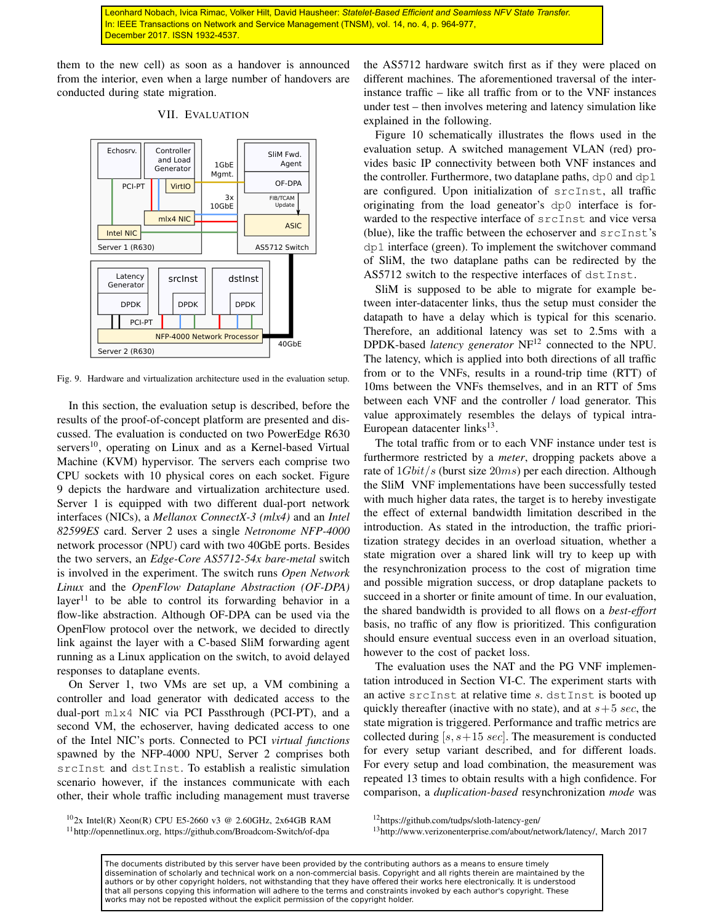them to the new cell) as soon as a handover is announced from the interior, even when a large number of handovers are conducted during state migration.



#### VII. EVALUATION

Fig. 9. Hardware and virtualization architecture used in the evaluation setup.

In this section, the evaluation setup is described, before the results of the proof-of-concept platform are presented and discussed. The evaluation is conducted on two PowerEdge R630 servers<sup>10</sup>, operating on Linux and as a Kernel-based Virtual Machine (KVM) hypervisor. The servers each comprise two CPU sockets with 10 physical cores on each socket. Figure 9 depicts the hardware and virtualization architecture used. Server 1 is equipped with two different dual-port network interfaces (NICs), a *Mellanox ConnectX-3 (mlx4)* and an *Intel 82599ES* card. Server 2 uses a single *Netronome NFP-4000* network processor (NPU) card with two 40GbE ports. Besides the two servers, an *Edge-Core AS5712-54x bare-metal* switch is involved in the experiment. The switch runs *Open Network Linux* and the *OpenFlow Dataplane Abstraction (OF-DPA)* layer<sup>11</sup> to be able to control its forwarding behavior in a flow-like abstraction. Although OF-DPA can be used via the OpenFlow protocol over the network, we decided to directly link against the layer with a C-based SliM forwarding agent running as a Linux application on the switch, to avoid delayed responses to dataplane events.

On Server 1, two VMs are set up, a VM combining a controller and load generator with dedicated access to the dual-port mlx4 NIC via PCI Passthrough (PCI-PT), and a second VM, the echoserver, having dedicated access to one of the Intel NIC's ports. Connected to PCI *virtual functions* spawned by the NFP-4000 NPU, Server 2 comprises both srcInst and dstInst. To establish a realistic simulation scenario however, if the instances communicate with each other, their whole traffic including management must traverse

the AS5712 hardware switch first as if they were placed on different machines. The aforementioned traversal of the interinstance traffic – like all traffic from or to the VNF instances under test – then involves metering and latency simulation like explained in the following.

Figure 10 schematically illustrates the flows used in the evaluation setup. A switched management VLAN (red) provides basic IP connectivity between both VNF instances and the controller. Furthermore, two dataplane paths,  $dpd$  and  $dp1$ are configured. Upon initialization of srcInst, all traffic originating from the load geneator's dp0 interface is forwarded to the respective interface of srcInst and vice versa (blue), like the traffic between the echoserver and srcInst's dp1 interface (green). To implement the switchover command of SliM, the two dataplane paths can be redirected by the AS5712 switch to the respective interfaces of dstInst.

SliM is supposed to be able to migrate for example between inter-datacenter links, thus the setup must consider the datapath to have a delay which is typical for this scenario. Therefore, an additional latency was set to 2.5ms with a DPDK-based *latency generator* NF<sup>12</sup> connected to the NPU. The latency, which is applied into both directions of all traffic from or to the VNFs, results in a round-trip time (RTT) of 10ms between the VNFs themselves, and in an RTT of 5ms between each VNF and the controller / load generator. This value approximately resembles the delays of typical intra-European datacenter links<sup>13</sup>.

The total traffic from or to each VNF instance under test is furthermore restricted by a *meter*, dropping packets above a rate of  $1Gbit/s$  (burst size  $20ms$ ) per each direction. Although the SliM VNF implementations have been successfully tested with much higher data rates, the target is to hereby investigate the effect of external bandwidth limitation described in the introduction. As stated in the introduction, the traffic prioritization strategy decides in an overload situation, whether a state migration over a shared link will try to keep up with the resynchronization process to the cost of migration time and possible migration success, or drop dataplane packets to succeed in a shorter or finite amount of time. In our evaluation, the shared bandwidth is provided to all flows on a *best-effort* basis, no traffic of any flow is prioritized. This configuration should ensure eventual success even in an overload situation, however to the cost of packet loss.

The evaluation uses the NAT and the PG VNF implementation introduced in Section VI-C. The experiment starts with an active srcInst at relative time s. dstInst is booted up quickly thereafter (inactive with no state), and at  $s+5$  sec, the state migration is triggered. Performance and traffic metrics are collected during  $[s, s+15 \, sec]$ . The measurement is conducted for every setup variant described, and for different loads. For every setup and load combination, the measurement was repeated 13 times to obtain results with a high confidence. For comparison, a *duplication-based* resynchronization *mode* was

<sup>10</sup>2x Intel(R) Xeon(R) CPU E5-2660 v3 @ 2.60GHz, 2x64GB RAM

<sup>11</sup>http://opennetlinux.org, https://github.com/Broadcom-Switch/of-dpa

<sup>12</sup>https://github.com/tudps/sloth-latency-gen/

<sup>13</sup>http://www.verizonenterprise.com/about/network/latency/, March 2017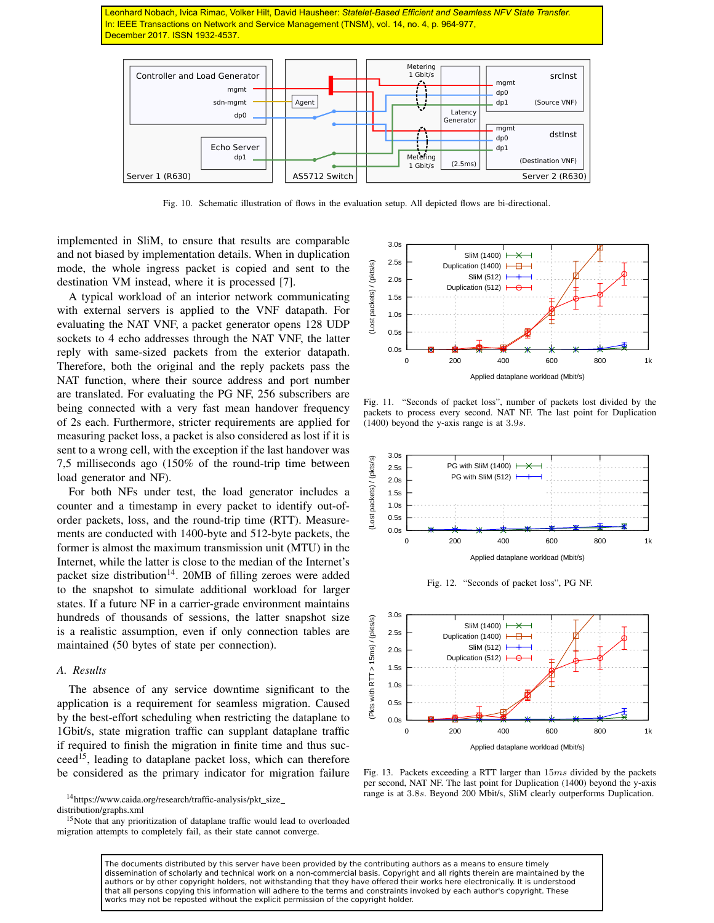



Fig. 10. Schematic illustration of flows in the evaluation setup. All depicted flows are bi-directional.

implemented in SliM, to ensure that results are comparable and not biased by implementation details. When in duplication mode, the whole ingress packet is copied and sent to the destination VM instead, where it is processed [7].

A typical workload of an interior network communicating with external servers is applied to the VNF datapath. For evaluating the NAT VNF, a packet generator opens 128 UDP sockets to 4 echo addresses through the NAT VNF, the latter reply with same-sized packets from the exterior datapath. Therefore, both the original and the reply packets pass the NAT function, where their source address and port number are translated. For evaluating the PG NF, 256 subscribers are being connected with a very fast mean handover frequency of 2s each. Furthermore, stricter requirements are applied for measuring packet loss, a packet is also considered as lost if it is sent to a wrong cell, with the exception if the last handover was 7,5 milliseconds ago (150% of the round-trip time between load generator and NF).

For both NFs under test, the load generator includes a counter and a timestamp in every packet to identify out-oforder packets, loss, and the round-trip time (RTT). Measurements are conducted with 1400-byte and 512-byte packets, the former is almost the maximum transmission unit (MTU) in the Internet, while the latter is close to the median of the Internet's packet size distribution<sup>14</sup>. 20MB of filling zeroes were added to the snapshot to simulate additional workload for larger states. If a future NF in a carrier-grade environment maintains hundreds of thousands of sessions, the latter snapshot size is a realistic assumption, even if only connection tables are maintained (50 bytes of state per connection).

## *A. Results*

The absence of any service downtime significant to the application is a requirement for seamless migration. Caused by the best-effort scheduling when restricting the dataplane to 1Gbit/s, state migration traffic can supplant dataplane traffic if required to finish the migration in finite time and thus suc- $\rm{ceed}^{15}$ , leading to dataplane packet loss, which can therefore be considered as the primary indicator for migration failure

 $14$ https://www.caida.org/research/traffic-analysis/pkt\_size\_

distribution/graphs.xml

<sup>15</sup>Note that any prioritization of dataplane traffic would lead to overloaded migration attempts to completely fail, as their state cannot converge.



Fig. 11. "Seconds of packet loss", number of packets lost divided by the packets to process every second. NAT NF. The last point for Duplication (1400) beyond the y-axis range is at 3.9s.



Fig. 12. "Seconds of packet loss", PG NF.



Fig. 13. Packets exceeding a RTT larger than 15ms divided by the packets per second, NAT NF. The last point for Duplication (1400) beyond the y-axis range is at 3.8s. Beyond 200 Mbit/s, SliM clearly outperforms Duplication.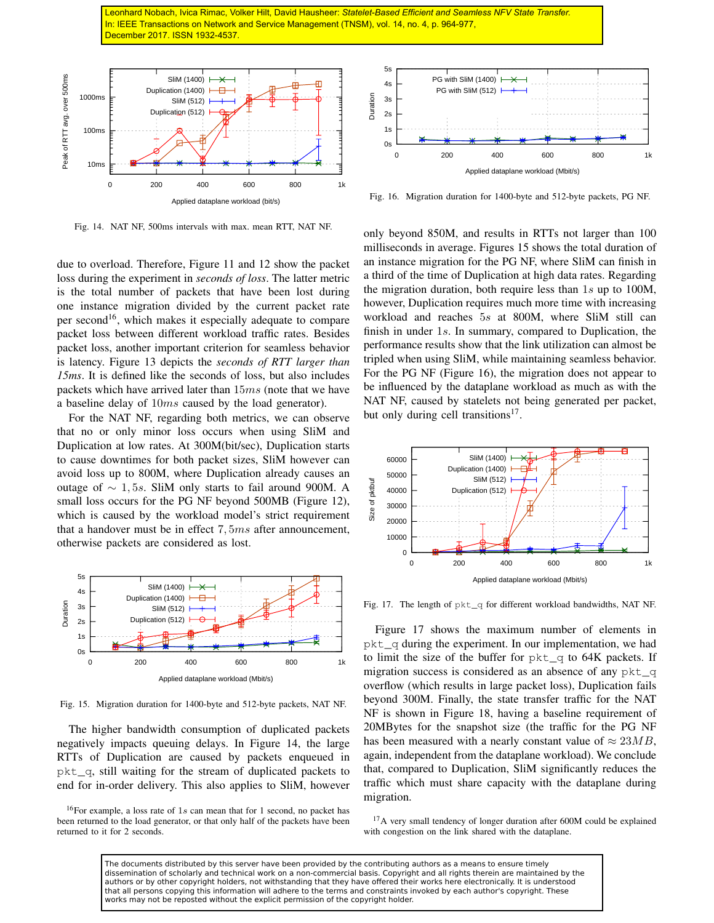

Fig. 14. NAT NF, 500ms intervals with max. mean RTT, NAT NF.

due to overload. Therefore, Figure 11 and 12 show the packet loss during the experiment in *seconds of loss*. The latter metric is the total number of packets that have been lost during one instance migration divided by the current packet rate per second<sup>16</sup>, which makes it especially adequate to compare packet loss between different workload traffic rates. Besides packet loss, another important criterion for seamless behavior is latency. Figure 13 depicts the *seconds of RTT larger than 15ms*. It is defined like the seconds of loss, but also includes packets which have arrived later than  $15ms$  (note that we have a baseline delay of 10ms caused by the load generator).

For the NAT NF, regarding both metrics, we can observe that no or only minor loss occurs when using SliM and Duplication at low rates. At 300M(bit/sec), Duplication starts to cause downtimes for both packet sizes, SliM however can avoid loss up to 800M, where Duplication already causes an outage of  $\sim$  1, 5s. SliM only starts to fail around 900M. A small loss occurs for the PG NF beyond 500MB (Figure 12), which is caused by the workload model's strict requirement that a handover must be in effect  $7,5ms$  after announcement, otherwise packets are considered as lost.



Fig. 15. Migration duration for 1400-byte and 512-byte packets, NAT NF.

The higher bandwidth consumption of duplicated packets negatively impacts queuing delays. In Figure 14, the large RTTs of Duplication are caused by packets enqueued in pkt\_q, still waiting for the stream of duplicated packets to end for in-order delivery. This also applies to SliM, however

<sup>16</sup>For example, a loss rate of 1s can mean that for 1 second, no packet has been returned to the load generator, or that only half of the packets have been returned to it for 2 seconds.



Fig. 16. Migration duration for 1400-byte and 512-byte packets, PG NF.

only beyond 850M, and results in RTTs not larger than 100 milliseconds in average. Figures 15 shows the total duration of an instance migration for the PG NF, where SliM can finish in a third of the time of Duplication at high data rates. Regarding the migration duration, both require less than  $1s$  up to 100M, however, Duplication requires much more time with increasing workload and reaches 5s at 800M, where SliM still can finish in under 1s. In summary, compared to Duplication, the performance results show that the link utilization can almost be tripled when using SliM, while maintaining seamless behavior. For the PG NF (Figure 16), the migration does not appear to be influenced by the dataplane workload as much as with the NAT NF, caused by statelets not being generated per packet, but only during cell transitions<sup>17</sup>.



Fig. 17. The length of pkt\_q for different workload bandwidths, NAT NF.

Figure 17 shows the maximum number of elements in pkt\_q during the experiment. In our implementation, we had to limit the size of the buffer for  $\beta$ kt q to 64K packets. If migration success is considered as an absence of any pkt\_q overflow (which results in large packet loss), Duplication fails beyond 300M. Finally, the state transfer traffic for the NAT NF is shown in Figure 18, having a baseline requirement of 20MBytes for the snapshot size (the traffic for the PG NF has been measured with a nearly constant value of  $\approx 23MB$ , again, independent from the dataplane workload). We conclude that, compared to Duplication, SliM significantly reduces the traffic which must share capacity with the dataplane during migration.

<sup>17</sup>A very small tendency of longer duration after 600M could be explained with congestion on the link shared with the dataplane.